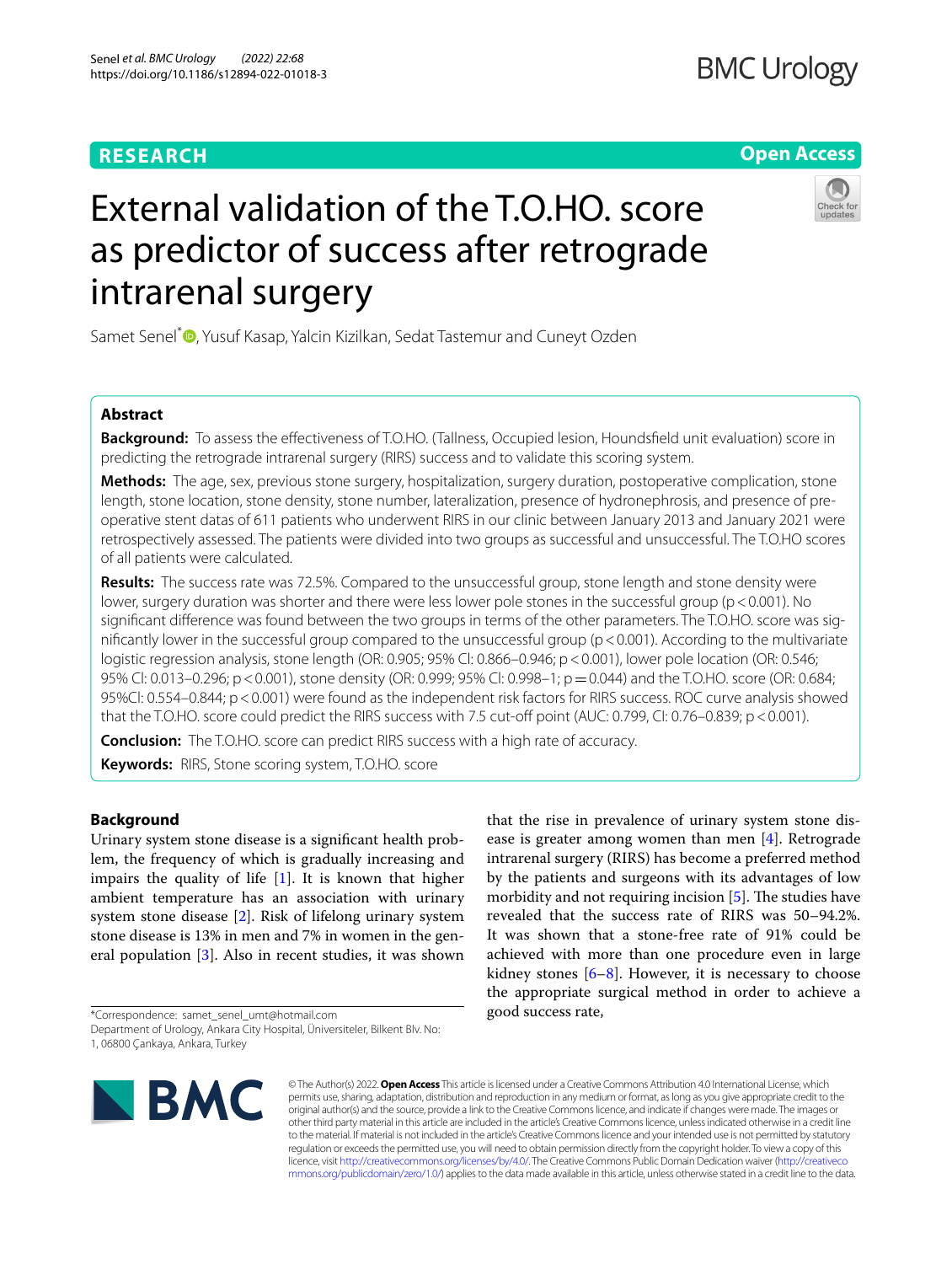# **RESEARCH**

# **Open Access**



# External validation of the T.O.HO. score as predictor of success after retrograde intrarenal surgery

Samet Senel<sup>\*</sup><sup>O</sup>[,](http://orcid.org/0000-0003-2280-4192) Yusuf Kasap, Yalcin Kizilkan, Sedat Tastemur and Cuneyt Ozden

# **Abstract**

**Background:** To assess the effectiveness of T.O.HO. (Tallness, Occupied lesion, Houndsfield unit evaluation) score in predicting the retrograde intrarenal surgery (RIRS) success and to validate this scoring system.

**Methods:** The age, sex, previous stone surgery, hospitalization, surgery duration, postoperative complication, stone length, stone location, stone density, stone number, lateralization, presence of hydronephrosis, and presence of preoperative stent datas of 611 patients who underwent RIRS in our clinic between January 2013 and January 2021 were retrospectively assessed. The patients were divided into two groups as successful and unsuccessful. The T.O.HO scores of all patients were calculated.

**Results:** The success rate was 72.5%. Compared to the unsuccessful group, stone length and stone density were lower, surgery duration was shorter and there were less lower pole stones in the successful group (p < 0.001). No signifcant diference was found between the two groups in terms of the other parameters. The T.O.HO. score was signifcantly lower in the successful group compared to the unsuccessful group (p<0.001). According to the multivariate logistic regression analysis, stone length (OR: 0.905; 95% Cl: 0.866–0.946; p<0.001), lower pole location (OR: 0.546; 95% Cl: 0.013–0.296; p < 0.001), stone density (OR: 0.999; 95% Cl: 0.998–1; p = 0.044) and the T.O.HO. score (OR: 0.684; 95%Cl: 0.554–0.844; p<0.001) were found as the independent risk factors for RIRS success. ROC curve analysis showed that the T.O.HO. score could predict the RIRS success with 7.5 cut-off point (AUC: 0.799, CI: 0.76–0.839; p < 0.001).

**Conclusion:** The T.O.HO. score can predict RIRS success with a high rate of accuracy.

**Keywords:** RIRS, Stone scoring system, T.O.HO. score

# **Background**

Urinary system stone disease is a signifcant health problem, the frequency of which is gradually increasing and impairs the quality of life  $[1]$  $[1]$ . It is known that higher ambient temperature has an association with urinary system stone disease [\[2](#page-5-1)]. Risk of lifelong urinary system stone disease is 13% in men and 7% in women in the general population [\[3](#page-5-2)]. Also in recent studies, it was shown

\*Correspondence: samet\_senel\_umt@hotmail.com

ease is greater among women than men [\[4](#page-5-3)]. Retrograde intrarenal surgery (RIRS) has become a preferred method by the patients and surgeons with its advantages of low morbidity and not requiring incision  $[5]$  $[5]$ . The studies have revealed that the success rate of RIRS was 50–94.2%. It was shown that a stone-free rate of 91% could be achieved with more than one procedure even in large kidney stones [\[6](#page-5-5)[–8](#page-5-6)]. However, it is necessary to choose the appropriate surgical method in order to achieve a good success rate,

that the rise in prevalence of urinary system stone dis-



© The Author(s) 2022. **Open Access** This article is licensed under a Creative Commons Attribution 4.0 International License, which permits use, sharing, adaptation, distribution and reproduction in any medium or format, as long as you give appropriate credit to the original author(s) and the source, provide a link to the Creative Commons licence, and indicate if changes were made. The images or other third party material in this article are included in the article's Creative Commons licence, unless indicated otherwise in a credit line to the material. If material is not included in the article's Creative Commons licence and your intended use is not permitted by statutory regulation or exceeds the permitted use, you will need to obtain permission directly from the copyright holder. To view a copy of this licence, visit [http://creativecommons.org/licenses/by/4.0/.](http://creativecommons.org/licenses/by/4.0/) The Creative Commons Public Domain Dedication waiver ([http://creativeco](http://creativecommons.org/publicdomain/zero/1.0/) [mmons.org/publicdomain/zero/1.0/](http://creativecommons.org/publicdomain/zero/1.0/)) applies to the data made available in this article, unless otherwise stated in a credit line to the data.

Department of Urology, Ankara City Hospital, Üniversiteler, Bilkent Blv. No: 1, 06800 Çankaya, Ankara, Turkey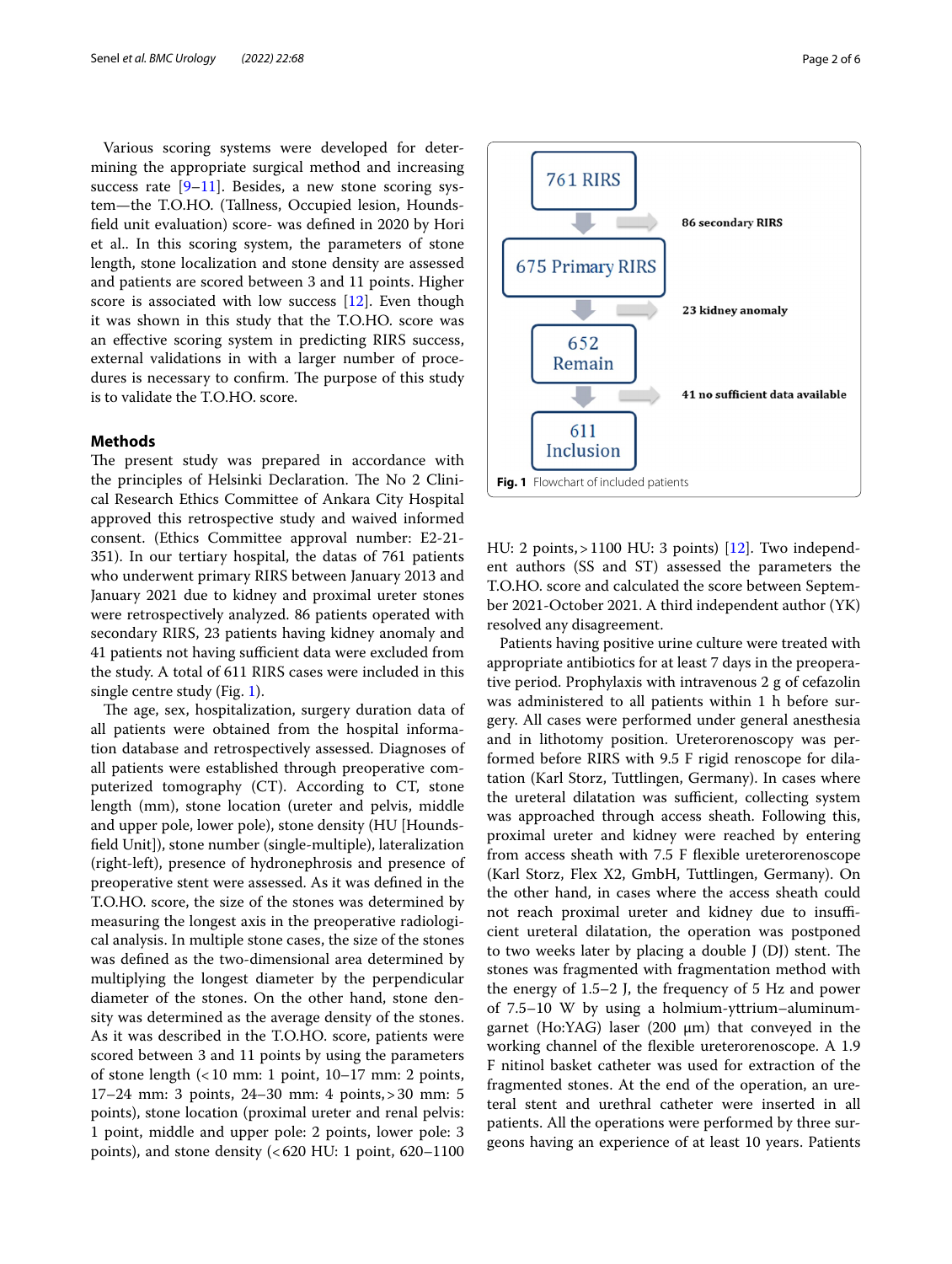Various scoring systems were developed for determining the appropriate surgical method and increasing success rate  $[9-11]$  $[9-11]$  $[9-11]$ . Besides, a new stone scoring system—the T.O.HO. (Tallness, Occupied lesion, Houndsfeld unit evaluation) score- was defned in 2020 by Hori et al.. In this scoring system, the parameters of stone length, stone localization and stone density are assessed and patients are scored between 3 and 11 points. Higher score is associated with low success [[12\]](#page-5-9). Even though it was shown in this study that the T.O.HO. score was an efective scoring system in predicting RIRS success, external validations in with a larger number of procedures is necessary to confirm. The purpose of this study is to validate the T.O.HO. score.

## **Methods**

The present study was prepared in accordance with the principles of Helsinki Declaration. The No 2 Clinical Research Ethics Committee of Ankara City Hospital approved this retrospective study and waived informed consent. (Ethics Committee approval number: E2-21- 351). In our tertiary hospital, the datas of 761 patients who underwent primary RIRS between January 2013 and January 2021 due to kidney and proximal ureter stones were retrospectively analyzed. 86 patients operated with secondary RIRS, 23 patients having kidney anomaly and 41 patients not having sufficient data were excluded from the study. A total of 611 RIRS cases were included in this single centre study (Fig. [1](#page-1-0)).

The age, sex, hospitalization, surgery duration data of all patients were obtained from the hospital information database and retrospectively assessed. Diagnoses of all patients were established through preoperative computerized tomography (CT). According to CT, stone length (mm), stone location (ureter and pelvis, middle and upper pole, lower pole), stone density (HU [Houndsfeld Unit]), stone number (single-multiple), lateralization (right-left), presence of hydronephrosis and presence of preoperative stent were assessed. As it was defned in the T.O.HO. score, the size of the stones was determined by measuring the longest axis in the preoperative radiological analysis. In multiple stone cases, the size of the stones was defned as the two-dimensional area determined by multiplying the longest diameter by the perpendicular diameter of the stones. On the other hand, stone density was determined as the average density of the stones. As it was described in the T.O.HO. score, patients were scored between 3 and 11 points by using the parameters of stone length  $\left($  < 10 mm: 1 point, 10–17 mm: 2 points, 17–24 mm: 3 points, 24–30 mm: 4 points,>30 mm: 5 points), stone location (proximal ureter and renal pelvis: 1 point, middle and upper pole: 2 points, lower pole: 3 points), and stone density (<620 HU: 1 point, 620–1100 <span id="page-1-0"></span>HU: 2 points,>1100 HU: 3 points) [[12](#page-5-9)]. Two independent authors (SS and ST) assessed the parameters the T.O.HO. score and calculated the score between September 2021-October 2021. A third independent author (YK) resolved any disagreement.

Patients having positive urine culture were treated with appropriate antibiotics for at least 7 days in the preoperative period. Prophylaxis with intravenous 2 g of cefazolin was administered to all patients within 1 h before surgery. All cases were performed under general anesthesia and in lithotomy position. Ureterorenoscopy was performed before RIRS with 9.5 F rigid renoscope for dilatation (Karl Storz, Tuttlingen, Germany). In cases where the ureteral dilatation was sufficient, collecting system was approached through access sheath. Following this, proximal ureter and kidney were reached by entering from access sheath with 7.5 F fexible ureterorenoscope (Karl Storz, Flex X2, GmbH, Tuttlingen, Germany). On the other hand, in cases where the access sheath could not reach proximal ureter and kidney due to insufficient ureteral dilatation, the operation was postponed to two weeks later by placing a double  $J(DJ)$  stent. The stones was fragmented with fragmentation method with the energy of 1.5–2 J, the frequency of 5 Hz and power of 7.5–10 W by using a holmium-yttrium–aluminumgarnet (Ho:YAG) laser (200 μm) that conveyed in the working channel of the fexible ureterorenoscope. A 1.9 F nitinol basket catheter was used for extraction of the fragmented stones. At the end of the operation, an ureteral stent and urethral catheter were inserted in all patients. All the operations were performed by three surgeons having an experience of at least 10 years. Patients

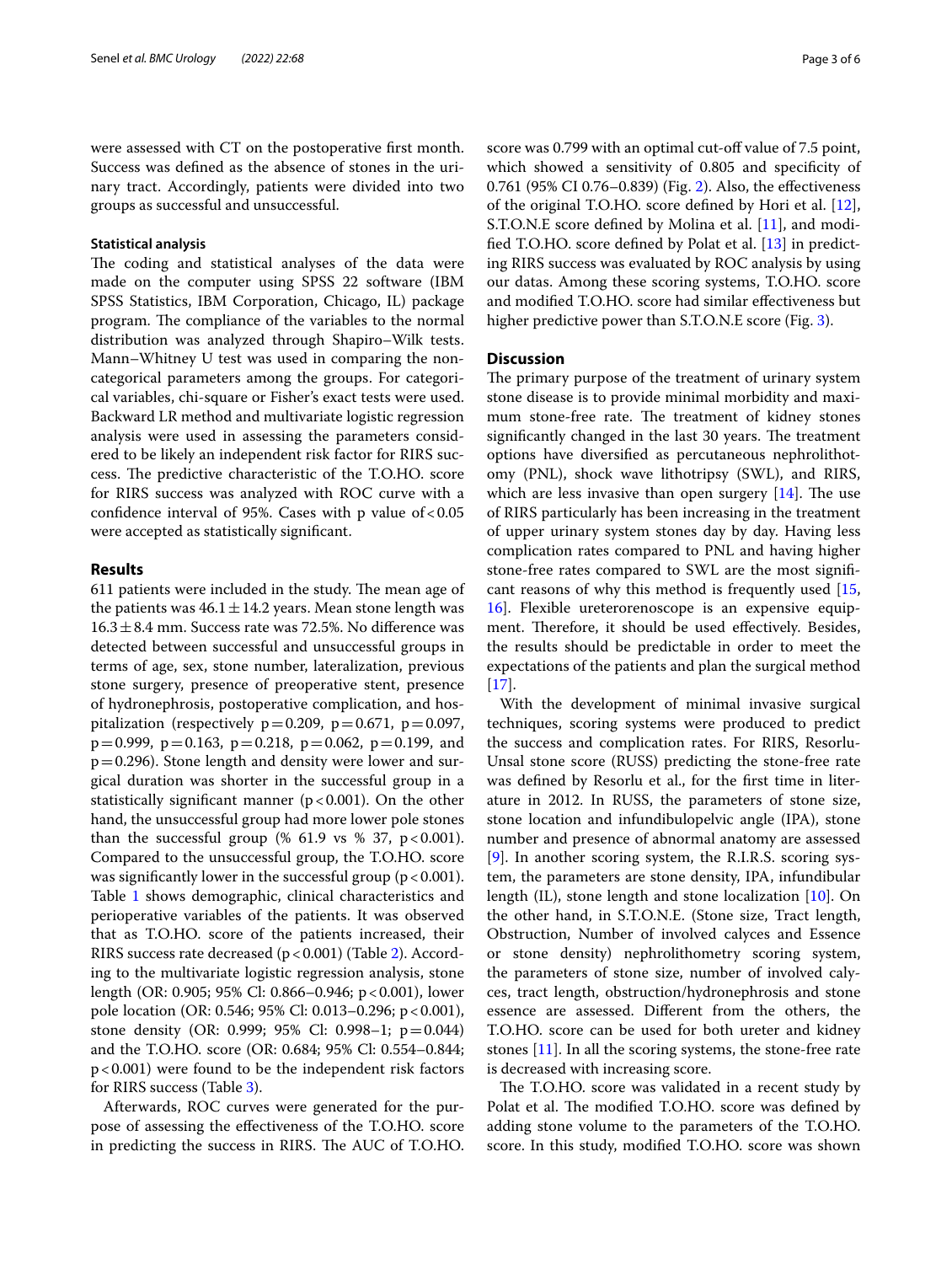were assessed with CT on the postoperative frst month. Success was defned as the absence of stones in the urinary tract. Accordingly, patients were divided into two groups as successful and unsuccessful.

## **Statistical analysis**

The coding and statistical analyses of the data were made on the computer using SPSS 22 software (IBM SPSS Statistics, IBM Corporation, Chicago, IL) package program. The compliance of the variables to the normal distribution was analyzed through Shapiro–Wilk tests. Mann–Whitney U test was used in comparing the noncategorical parameters among the groups. For categorical variables, chi-square or Fisher's exact tests were used. Backward LR method and multivariate logistic regression analysis were used in assessing the parameters considered to be likely an independent risk factor for RIRS success. The predictive characteristic of the T.O.HO. score for RIRS success was analyzed with ROC curve with a confidence interval of 95%. Cases with p value of  $< 0.05$ were accepted as statistically signifcant.

## **Results**

611 patients were included in the study. The mean age of the patients was  $46.1 \pm 14.2$  years. Mean stone length was  $16.3 \pm 8.4$  mm. Success rate was 72.5%. No difference was detected between successful and unsuccessful groups in terms of age, sex, stone number, lateralization, previous stone surgery, presence of preoperative stent, presence of hydronephrosis, postoperative complication, and hospitalization (respectively  $p=0.209$ ,  $p=0.671$ ,  $p=0.097$ ,  $p=0.999$ ,  $p=0.163$ ,  $p=0.218$ ,  $p=0.062$ ,  $p=0.199$ , and  $p=0.296$ ). Stone length and density were lower and surgical duration was shorter in the successful group in a statistically significant manner ( $p < 0.001$ ). On the other hand, the unsuccessful group had more lower pole stones than the successful group (% 61.9 vs % 37,  $p < 0.001$ ). Compared to the unsuccessful group, the T.O.HO. score was significantly lower in the successful group ( $p < 0.001$ ). Table [1](#page-3-0) shows demographic, clinical characteristics and perioperative variables of the patients. It was observed that as T.O.HO. score of the patients increased, their RIRS success rate decreased  $(p < 0.001)$  (Table [2\)](#page-3-1). According to the multivariate logistic regression analysis, stone length (OR: 0.905; 95% Cl: 0.866–0.946; p<0.001), lower pole location (OR: 0.546; 95% Cl: 0.013–0.296; p<0.001), stone density (OR: 0.999; 95% Cl: 0.998–1; p=0.044) and the T.O.HO. score (OR: 0.684; 95% Cl: 0.554–0.844; p<0.001) were found to be the independent risk factors for RIRS success (Table [3\)](#page-3-2).

Afterwards, ROC curves were generated for the purpose of assessing the efectiveness of the T.O.HO. score in predicting the success in RIRS. The AUC of T.O.HO. score was 0.799 with an optimal cut-off value of 7.5 point, which showed a sensitivity of 0.805 and specifcity of 0.761 (95% CI 0.76–0.839) (Fig. [2](#page-4-0)). Also, the efectiveness of the original T.O.HO. score defned by Hori et al. [\[12](#page-5-9)], S.T.O.N.E score defned by Molina et al. [[11\]](#page-5-8), and modifed T.O.HO. score defned by Polat et al. [\[13](#page-5-10)] in predicting RIRS success was evaluated by ROC analysis by using our datas. Among these scoring systems, T.O.HO. score and modifed T.O.HO. score had similar efectiveness but higher predictive power than S.T.O.N.E score (Fig. [3](#page-4-1)).

# **Discussion**

The primary purpose of the treatment of urinary system stone disease is to provide minimal morbidity and maximum stone-free rate. The treatment of kidney stones significantly changed in the last 30 years. The treatment options have diversifed as percutaneous nephrolithotomy (PNL), shock wave lithotripsy (SWL), and RIRS, which are less invasive than open surgery  $[14]$ . The use of RIRS particularly has been increasing in the treatment of upper urinary system stones day by day. Having less complication rates compared to PNL and having higher stone-free rates compared to SWL are the most signifcant reasons of why this method is frequently used [[15](#page-5-12), [16\]](#page-5-13). Flexible ureterorenoscope is an expensive equipment. Therefore, it should be used effectively. Besides, the results should be predictable in order to meet the expectations of the patients and plan the surgical method [[17\]](#page-5-14).

With the development of minimal invasive surgical techniques, scoring systems were produced to predict the success and complication rates. For RIRS, Resorlu-Unsal stone score (RUSS) predicting the stone-free rate was defined by Resorlu et al., for the first time in literature in 2012. In RUSS, the parameters of stone size, stone location and infundibulopelvic angle (IPA), stone number and presence of abnormal anatomy are assessed [[9\]](#page-5-7). In another scoring system, the R.I.R.S. scoring system, the parameters are stone density, IPA, infundibular length (IL), stone length and stone localization [[10\]](#page-5-15). On the other hand, in S.T.O.N.E. (Stone size, Tract length, Obstruction, Number of involved calyces and Essence or stone density) nephrolithometry scoring system, the parameters of stone size, number of involved calyces, tract length, obstruction/hydronephrosis and stone essence are assessed. Diferent from the others, the T.O.HO. score can be used for both ureter and kidney stones [\[11](#page-5-8)]. In all the scoring systems, the stone-free rate is decreased with increasing score.

The T.O.HO. score was validated in a recent study by Polat et al. The modified T.O.HO. score was defined by adding stone volume to the parameters of the T.O.HO. score. In this study, modifed T.O.HO. score was shown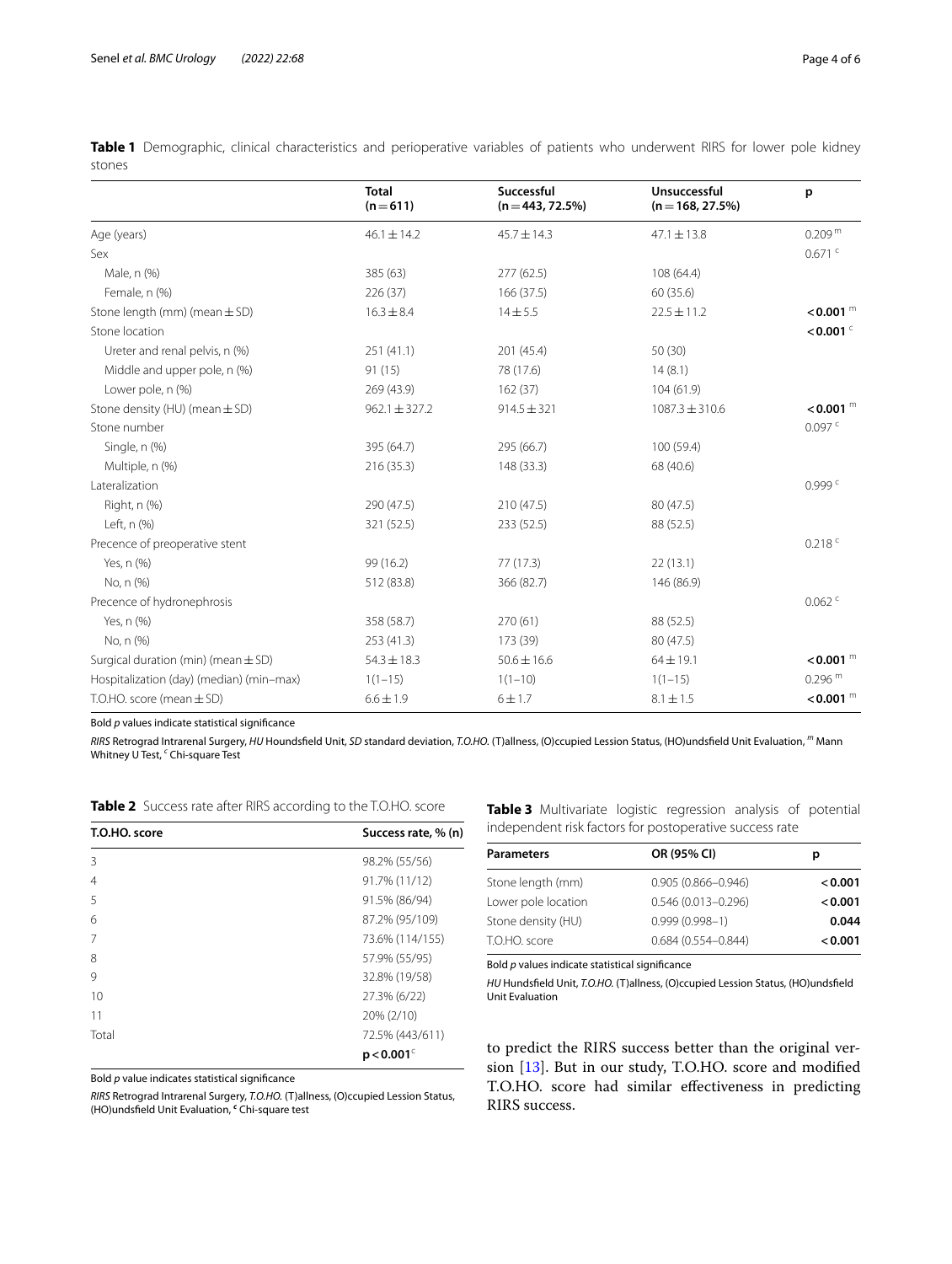<span id="page-3-0"></span>

| stones |                                                                                                                                |  |  |  |  |  |
|--------|--------------------------------------------------------------------------------------------------------------------------------|--|--|--|--|--|
|        | Table 1 Demographic, clinical characteristics and perioperative variables of patients who underwent RIRS for lower pole kidney |  |  |  |  |  |

|                                          | <b>Total</b><br>$(n=611)$ | Successful<br>$(n = 443, 72.5%)$ | Unsuccessful<br>$(n = 168, 27.5%)$ | p                      |
|------------------------------------------|---------------------------|----------------------------------|------------------------------------|------------------------|
| Age (years)                              | $46.1 \pm 14.2$           | $45.7 \pm 14.3$                  | $47.1 \pm 13.8$                    | 0.209 <sup>m</sup>     |
| Sex                                      |                           |                                  |                                    | $0.671$ <sup>c</sup>   |
| Male, n (%)                              | 385 (63)                  | 277(62.5)                        | 108 (64.4)                         |                        |
| Female, n (%)                            | 226 (37)                  | 166(37.5)                        | 60 (35.6)                          |                        |
| Stone length (mm) (mean $\pm$ SD)        | $16.3 \pm 8.4$            | $14 + 5.5$                       | $22.5 \pm 11.2$                    | $<$ 0.001 $^{\rm m}$   |
| Stone location                           |                           |                                  |                                    | $<$ 0.001 $\degree$    |
| Ureter and renal pelvis, n (%)           | 251(41.1)                 | 201 (45.4)                       | 50(30)                             |                        |
| Middle and upper pole, n (%)             | 91(15)                    | 78 (17.6)                        | 14(8.1)                            |                        |
| Lower pole, n (%)                        | 269(43.9)                 | 162(37)                          | 104(61.9)                          |                        |
| Stone density (HU) (mean $\pm$ SD)       | $962.1 \pm 327.2$         | $914.5 \pm 321$                  | $1087.3 \pm 310.6$                 | $< 0.001$ <sup>m</sup> |
| Stone number                             |                           |                                  |                                    | 0.097c                 |
| Single, n (%)                            | 395 (64.7)                | 295 (66.7)                       | 100 (59.4)                         |                        |
| Multiple, n (%)                          | 216(35.3)                 | 148 (33.3)                       | 68 (40.6)                          |                        |
| Lateralization                           |                           |                                  |                                    | 0.999c                 |
| Right, n (%)                             | 290 (47.5)                | 210 (47.5)                       | 80 (47.5)                          |                        |
| Left, n (%)                              | 321 (52.5)                | 233 (52.5)                       | 88 (52.5)                          |                        |
| Precence of preoperative stent           |                           |                                  |                                    | $0.218$ <sup>c</sup>   |
| Yes, n (%)                               | 99 (16.2)                 | 77(17.3)                         | 22(13.1)                           |                        |
| No, n (%)                                | 512 (83.8)                | 366 (82.7)                       | 146 (86.9)                         |                        |
| Precence of hydronephrosis               |                           |                                  |                                    | $0.062$ <sup>c</sup>   |
| Yes, n (%)                               | 358 (58.7)                | 270(61)                          | 88 (52.5)                          |                        |
| No, n (%)                                | 253(41.3)                 | 173 (39)                         | 80 (47.5)                          |                        |
| Surgical duration (min) (mean $\pm$ SD)  | $54.3 \pm 18.3$           | $50.6 \pm 16.6$                  | $64 \pm 19.1$                      | $< 0.001$ <sup>m</sup> |
| Hospitalization (day) (median) (min-max) | $1(1-15)$                 | $1(1-10)$                        | $1(1-15)$                          | 0.296 <sup>m</sup>     |
| T.O.HO. score (mean $\pm$ SD)            | $6.6 \pm 1.9$             | 6 ± 1.7                          | $8.1 \pm 1.5$                      | $< 0.001$ <sup>m</sup> |

Bold *p* values indicate statistical signifcance

*RIRS* Retrograd Intrarenal Surgery, *HU* Houndsfeld Unit, *SD* standard deviation, *T.O.HO.* (T)allness, (O)ccupied Lession Status, (HO)undsfeld Unit Evaluation, *<sup>m</sup>* Mann Whitney U Test, *<sup>c</sup>* Chi-square Test

<span id="page-3-1"></span>

| T.O.HO. score | Success rate, % (n)      |
|---------------|--------------------------|
| 3             | 98.2% (55/56)            |
| 4             | 91.7% (11/12)            |
| 5             | 91.5% (86/94)            |
| 6             | 87.2% (95/109)           |
| 7             | 73.6% (114/155)          |
| 8             | 57.9% (55/95)            |
| 9             | 32.8% (19/58)            |
| 10            | 27.3% (6/22)             |
| 11            | 20% (2/10)               |
| Total         | 72.5% (443/611)          |
|               | $p < 0.001$ <sup>c</sup> |

<span id="page-3-2"></span>**Table 3** Multivariate logistic regression analysis of potential independent risk factors for postoperative success rate

| <b>Parameters</b>   | OR (95% CI)            | р       |  |
|---------------------|------------------------|---------|--|
| Stone length (mm)   | $0.905(0.866 - 0.946)$ | < 0.001 |  |
| Lower pole location | $0.546(0.013 - 0.296)$ | < 0.001 |  |
| Stone density (HU)  | $0.999(0.998 - 1)$     | 0.044   |  |
| T.O.HO. score       | $0.684(0.554 - 0.844)$ | < 0.001 |  |

Bold *p* values indicate statistical signifcance

*HU* Hundsfeld Unit, *T.O.HO.* (T)allness, (O)ccupied Lession Status, (HO)undsfeld Unit Evaluation

Bold *p* value indicates statistical signifcance

*RIRS* Retrograd Intrarenal Surgery, *T.O.HO.* (T)allness, (O)ccupied Lession Status, (HO)undsfeld Unit Evaluation, *<sup>c</sup>* Chi-square test

to predict the RIRS success better than the original version [\[13](#page-5-10)]. But in our study, T.O.HO. score and modifed T.O.HO. score had similar efectiveness in predicting RIRS success.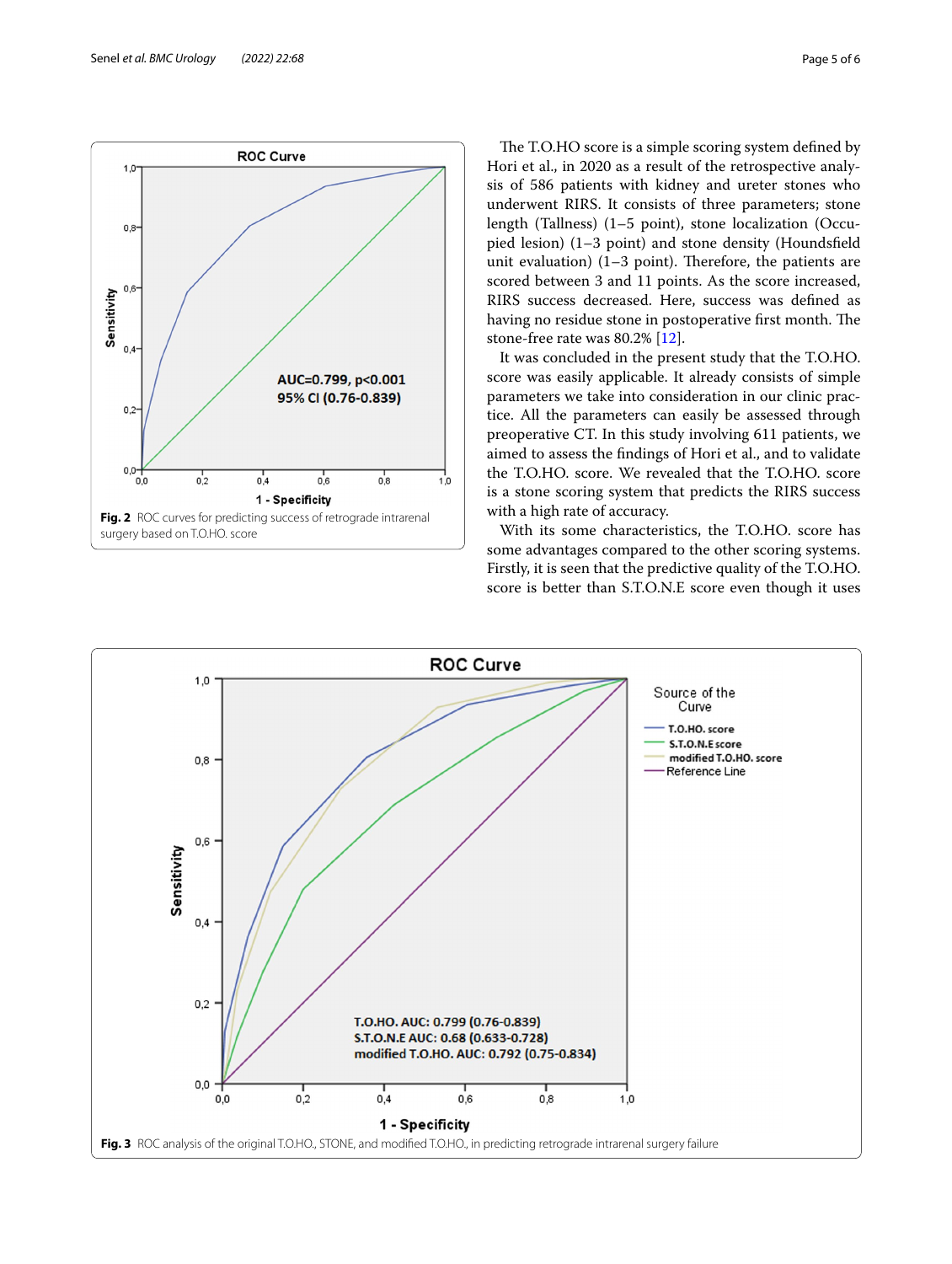

The T.O.HO score is a simple scoring system defined by Hori et al., in 2020 as a result of the retrospective analysis of 586 patients with kidney and ureter stones who underwent RIRS. It consists of three parameters; stone length (Tallness) (1–5 point), stone localization (Occupied lesion) (1–3 point) and stone density (Houndsfeld unit evaluation)  $(1-3$  point). Therefore, the patients are scored between 3 and 11 points. As the score increased, RIRS success decreased. Here, success was defned as having no residue stone in postoperative first month. The stone-free rate was 80.2% [[12](#page-5-9)].

It was concluded in the present study that the T.O.HO. score was easily applicable. It already consists of simple parameters we take into consideration in our clinic practice. All the parameters can easily be assessed through preoperative CT. In this study involving 611 patients, we aimed to assess the fndings of Hori et al., and to validate the T.O.HO. score. We revealed that the T.O.HO. score is a stone scoring system that predicts the RIRS success with a high rate of accuracy.

With its some characteristics, the T.O.HO. score has some advantages compared to the other scoring systems. Firstly, it is seen that the predictive quality of the T.O.HO. score is better than S.T.O.N.E score even though it uses

<span id="page-4-1"></span><span id="page-4-0"></span>